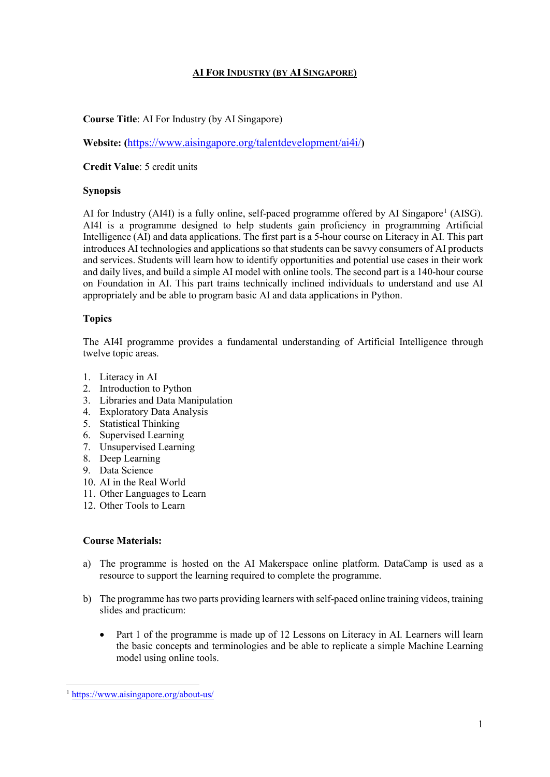# **AI FOR INDUSTRY (BY AI SINGAPORE)**

## **Course Title**: AI For Industry (by AI Singapore)

**Website: (**<https://www.aisingapore.org/talentdevelopment/ai4i/>**)**

**Credit Value**: 5 credit units

#### **Synopsis**

AI for Industry (AI4I) is a fully online, self-paced programme offered by AI Singapore<sup>[1](#page-0-0)</sup> (AISG). AI4I is a programme designed to help students gain proficiency in programming Artificial Intelligence (AI) and data applications. The first part is a 5-hour course on Literacy in AI. This part introduces AI technologies and applications so that students can be savvy consumers of AI products and services. Students will learn how to identify opportunities and potential use cases in their work and daily lives, and build a simple AI model with online tools. The second part is a 140-hour course on Foundation in AI. This part trains technically inclined individuals to understand and use AI appropriately and be able to program basic AI and data applications in Python.

### **Topics**

The AI4I programme provides a fundamental understanding of Artificial Intelligence through twelve topic areas.

- 1. Literacy in AI
- 2. Introduction to Python
- 3. Libraries and Data Manipulation
- 4. Exploratory Data Analysis
- 5. Statistical Thinking
- 6. Supervised Learning
- 7. Unsupervised Learning
- 8. Deep Learning
- 9. Data Science
- 10. AI in the Real World
- 11. Other Languages to Learn
- 12. Other Tools to Learn

# **Course Materials:**

- a) The programme is hosted on the AI Makerspace online platform. DataCamp is used as a resource to support the learning required to complete the programme.
- b) The programme has two parts providing learners with self-paced online training videos, training slides and practicum:
	- Part 1 of the programme is made up of 12 Lessons on Literacy in AI. Learners will learn the basic concepts and terminologies and be able to replicate a simple Machine Learning model using online tools.

<span id="page-0-0"></span> <sup>1</sup> <https://www.aisingapore.org/about-us/>